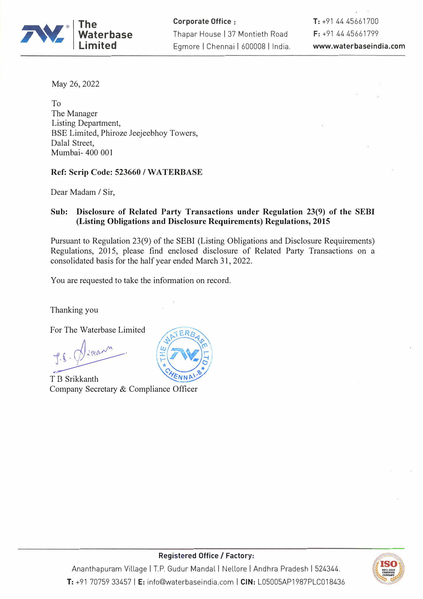

**Corporate Office :** Thapar House I 37 Montieth Road Egmore | Chennai | 600008 | India. **T:** +91 44 45661700 F: +91 44 45661799 **www.waterbaseindia.com** 

May 26, 2022

To The Manager Listing Department, BSE Limited, Phiroze Jeejeebhoy Towers, Dalal Street, Mumbai- 400 001

### **Ref: Scrip Code: 523660 / WA TERBASE**

Dear Madam *I* Sir,

## **Sub: Disclosure of Related Party Transactions under Regulation 23(9) of the SEBI (Listing Obligations and Disclosure Requirements) Regulations, 2015**

Pursuant to Regulation 23(9) of the SEBI (Listing Obligations and Disclosure Requirements) Regulations, 2015, please find enclosed disclosure of Related Party Transactions on a consolidated basis for the half year ended March 31, 2022.

You are requested to take the information on record.

Thanking you

For The Waterbase Limited

P. S. Dimann.

T B Srikkanth Company Secretary & Compliance Officer





# **Registered Office/ Factory:**

Ananthapuram Village | T.P. Gudur Mandal | Nellore | Andhra Pradesh | 524344. **T:** +91 70759 33457 **IE:** info@waterbaseindia.com I **CIN:** L05005AP1987PLC018436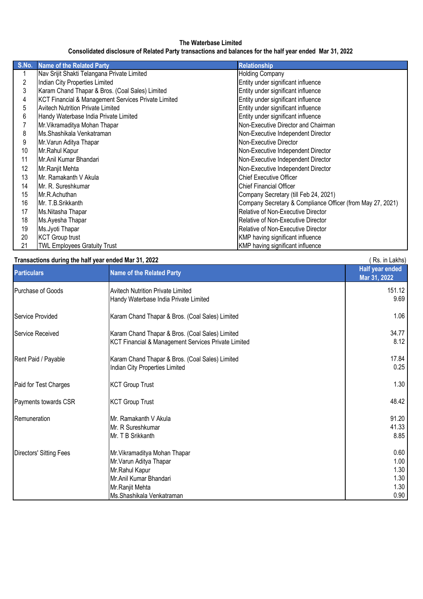#### **The Waterbase Limited Consolidated disclosure of Related Party transactions and balances for the half year ended Mar 31, 2022**

| S.No.          | <b>Name of the Related Party</b>                    | <b>Relationship</b>                                        |
|----------------|-----------------------------------------------------|------------------------------------------------------------|
|                | Nav Srijit Shakti Telangana Private Limited         | <b>Holding Company</b>                                     |
| $\overline{c}$ | Indian City Properties Limited                      | Entity under significant influence                         |
| 3              | Karam Chand Thapar & Bros. (Coal Sales) Limited     | Entity under significant influence                         |
| 4              | KCT Financial & Management Services Private Limited | Entity under significant influence                         |
| 5              | <b>Avitech Nutrition Private Limited</b>            | Entity under significant influence                         |
| 6              | Handy Waterbase India Private Limited               | Entity under significant influence                         |
| 7              | Mr. Vikramaditya Mohan Thapar                       | Non-Executive Director and Chairman                        |
| 8              | Ms.Shashikala Venkatraman                           | Non-Executive Independent Director                         |
| 9              | Mr. Varun Aditya Thapar                             | Non-Executive Director                                     |
| 10             | Mr.Rahul Kapur                                      | Non-Executive Independent Director                         |
| 11             | Mr.Anil Kumar Bhandari                              | Non-Executive Independent Director                         |
| 12             | Mr.Ranjit Mehta                                     | Non-Executive Independent Director                         |
| 13             | Mr. Ramakanth V Akula                               | <b>Chief Executive Officer</b>                             |
| 14             | Mr. R. Sureshkumar                                  | <b>Chief Financial Officer</b>                             |
| 15             | Mr.R.Achuthan                                       | Company Secretary (till Feb 24, 2021)                      |
| 16             | Mr. T.B.Srikkanth                                   | Company Secretary & Compliance Officer (from May 27, 2021) |
| 17             | Ms.Nitasha Thapar                                   | Relative of Non-Executive Director                         |
| 18             | Ms.Ayesha Thapar                                    | Relative of Non-Executive Director                         |
| 19             | Ms.Jyoti Thapar                                     | Relative of Non-Executive Director                         |
| 20             | <b>KCT Group trust</b>                              | KMP having significant influence                           |
| 21             | <b>TWL Employees Gratuity Trust</b>                 | KMP having significant influence                           |

#### **Transactions during the half year ended Mar 31, 2022 Conservation of the set of the set of the set of the set of the set of the set of the set of the set of the set of the set of the set of the set of the set of the set**

| <b>TRONGOLOG WITH STREET AND YOU CHOCK MAIL OF, EVER</b><br><b>Particulars</b> | <b>Name of the Related Party</b>                                                                       | $10.11$ Lands<br>Half year ended<br>Mar 31, 2022 |
|--------------------------------------------------------------------------------|--------------------------------------------------------------------------------------------------------|--------------------------------------------------|
| Purchase of Goods                                                              | <b>Avitech Nutrition Private Limited</b><br>Handy Waterbase India Private Limited                      | 151.12<br>9.69                                   |
| Service Provided                                                               | Karam Chand Thapar & Bros. (Coal Sales) Limited                                                        | 1.06                                             |
| Service Received                                                               | Karam Chand Thapar & Bros. (Coal Sales) Limited<br>KCT Financial & Management Services Private Limited | 34.77<br>8.12                                    |
| Rent Paid / Payable                                                            | Karam Chand Thapar & Bros. (Coal Sales) Limited<br>Indian City Properties Limited                      | 17.84<br>0.25                                    |
| Paid for Test Charges                                                          | <b>KCT Group Trust</b>                                                                                 | 1.30                                             |
| Payments towards CSR                                                           | <b>KCT Group Trust</b>                                                                                 | 48.42                                            |
| Remuneration                                                                   | Mr. Ramakanth V Akula<br>Mr. R Sureshkumar<br>Mr. T B Srikkanth                                        | 91.20<br>41.33<br>8.85                           |
| <b>Directors' Sitting Fees</b>                                                 | Mr. Vikramaditya Mohan Thapar<br>Mr. Varun Aditya Thapar<br>Mr. Rahul Kapur<br>Mr.Anil Kumar Bhandari  | 0.60<br>1.00<br>1.30<br>1.30                     |
|                                                                                | Mr.Ranjit Mehta<br>Ms.Shashikala Venkatraman                                                           | 1.30<br>0.90                                     |